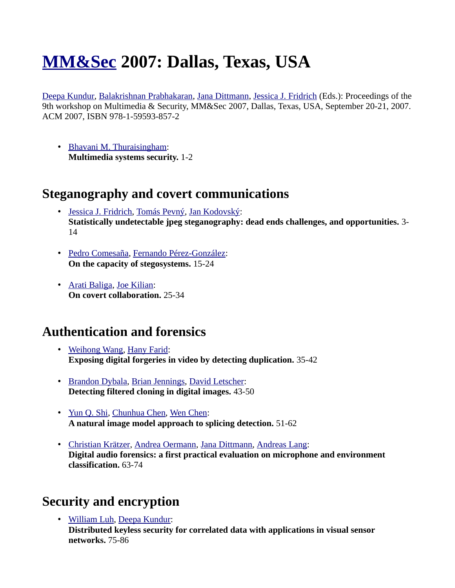# **[MM&Sec](http://www.informatik.uni-trier.de/~ley/db/conf/mmsec/index.html) 2007: Dallas, Texas, USA**

[Deepa Kundur,](http://www.informatik.uni-trier.de/~ley/db/indices/a-tree/k/Kundur:Deepa.html) [Balakrishnan Prabhakaran,](http://www.informatik.uni-trier.de/~ley/db/indices/a-tree/p/Prabhakaran:Balakrishnan.html) [Jana Dittmann,](http://www.informatik.uni-trier.de/~ley/db/indices/a-tree/d/Dittmann:Jana.html) [Jessica J. Fridrich](http://www.informatik.uni-trier.de/~ley/db/indices/a-tree/f/Fridrich:Jessica_J=.html) (Eds.): Proceedings of the 9th workshop on Multimedia & Security, MM&Sec 2007, Dallas, Texas, USA, September 20-21, 2007. ACM 2007, ISBN 978-1-59593-857-2

• [Bhavani M. Thuraisingham:](http://www.informatik.uni-trier.de/~ley/db/indices/a-tree/t/Thuraisingham:Bhavani_M=.html) **Multimedia systems security.** 1-2

#### **Steganography and covert communications**

- • [Jessica J. Fridrich,](http://www.informatik.uni-trier.de/~ley/db/indices/a-tree/f/Fridrich:Jessica_J=.html) [Tomás Pevný,](http://www.informatik.uni-trier.de/~ley/db/indices/a-tree/p/Pevn=yacute=:Tom=aacute=s.html) [Jan Kodovský:](http://www.informatik.uni-trier.de/~ley/db/indices/a-tree/k/Kodovsk=yacute=:Jan.html) **Statistically undetectable jpeg steganography: dead ends challenges, and opportunities.** 3- 14
- • [Pedro Comesaña,](http://www.informatik.uni-trier.de/~ley/db/indices/a-tree/c/Comesa=ntilde=a:Pedro.html) [Fernando Pérez-González:](http://www.informatik.uni-trier.de/~ley/db/indices/a-tree/p/P=eacute=rez=Gonz=aacute=lez:Fernando.html) **On the capacity of stegosystems.** 15-24
- • [Arati Baliga,](http://www.informatik.uni-trier.de/~ley/db/indices/a-tree/b/Baliga:Arati.html) [Joe Kilian:](http://www.informatik.uni-trier.de/~ley/db/indices/a-tree/k/Kilian:Joe.html) **On covert collaboration.** 25-34

#### **Authentication and forensics**

- • [Weihong Wang,](http://www.informatik.uni-trier.de/~ley/db/indices/a-tree/w/Wang:Weihong.html) [Hany Farid:](http://www.informatik.uni-trier.de/~ley/db/indices/a-tree/f/Farid:Hany.html) **Exposing digital forgeries in video by detecting duplication.** 35-42
- • [Brandon Dybala,](http://www.informatik.uni-trier.de/~ley/db/indices/a-tree/d/Dybala:Brandon.html) [Brian Jennings,](http://www.informatik.uni-trier.de/~ley/db/indices/a-tree/j/Jennings:Brian.html) [David Letscher:](http://www.informatik.uni-trier.de/~ley/db/indices/a-tree/l/Letscher:David.html) **Detecting filtered cloning in digital images.** 43-50
- • [Yun Q. Shi,](http://www.informatik.uni-trier.de/~ley/db/indices/a-tree/s/Shi:Yun_Q=.html) [Chunhua Chen,](http://www.informatik.uni-trier.de/~ley/db/indices/a-tree/c/Chen:Chunhua.html) [Wen Chen:](http://www.informatik.uni-trier.de/~ley/db/indices/a-tree/c/Chen_0002:Wen.html) **A natural image model approach to splicing detection.** 51-62
- • [Christian Krätzer,](http://www.informatik.uni-trier.de/~ley/db/indices/a-tree/k/Kr=auml=tzer:Christian.html) [Andrea Oermann,](http://www.informatik.uni-trier.de/~ley/db/indices/a-tree/o/Oermann:Andrea.html) [Jana Dittmann,](http://www.informatik.uni-trier.de/~ley/db/indices/a-tree/d/Dittmann:Jana.html) [Andreas Lang:](http://www.informatik.uni-trier.de/~ley/db/indices/a-tree/l/Lang:Andreas.html) **Digital audio forensics: a first practical evaluation on microphone and environment classification.** 63-74

## **Security and encryption**

• [William Luh,](http://www.informatik.uni-trier.de/~ley/db/indices/a-tree/l/Luh:William.html) [Deepa Kundur:](http://www.informatik.uni-trier.de/~ley/db/indices/a-tree/k/Kundur:Deepa.html) **Distributed keyless security for correlated data with applications in visual sensor networks.** 75-86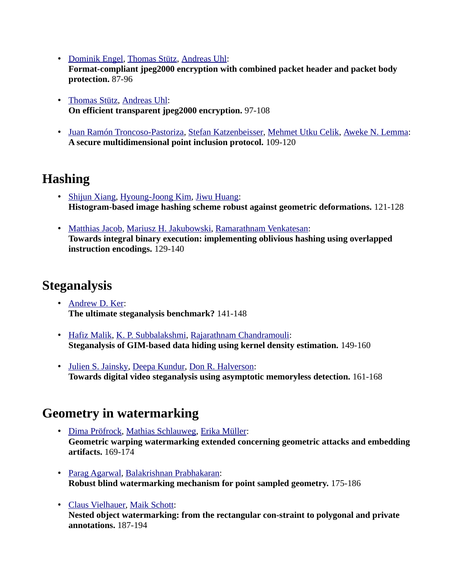- • [Dominik Engel,](http://www.informatik.uni-trier.de/~ley/db/indices/a-tree/e/Engel:Dominik.html) [Thomas Stütz,](http://www.informatik.uni-trier.de/~ley/db/indices/a-tree/s/St=uuml=tz:Thomas.html) [Andreas Uhl:](http://www.informatik.uni-trier.de/~ley/db/indices/a-tree/u/Uhl:Andreas.html) **Format-compliant jpeg2000 encryption with combined packet header and packet body protection.** 87-96
- • [Thomas Stütz,](http://www.informatik.uni-trier.de/~ley/db/indices/a-tree/s/St=uuml=tz:Thomas.html) [Andreas Uhl:](http://www.informatik.uni-trier.de/~ley/db/indices/a-tree/u/Uhl:Andreas.html) **On efficient transparent jpeg2000 encryption.** 97-108
- • [Juan Ramón Troncoso-Pastoriza,](http://www.informatik.uni-trier.de/~ley/db/indices/a-tree/t/Troncoso=Pastoriza:Juan_Ram=oacute=n.html) [Stefan Katzenbeisser,](http://www.informatik.uni-trier.de/~ley/db/indices/a-tree/k/Katzenbeisser:Stefan.html) [Mehmet Utku Celik,](http://www.informatik.uni-trier.de/~ley/db/indices/a-tree/c/Celik:Mehmet_Utku.html) [Aweke N. Lemma:](http://www.informatik.uni-trier.de/~ley/db/indices/a-tree/l/Lemma:Aweke_N=.html) **A secure multidimensional point inclusion protocol.** 109-120

### **Hashing**

- • [Shijun Xiang,](http://www.informatik.uni-trier.de/~ley/db/indices/a-tree/x/Xiang:Shijun.html) [Hyoung-Joong Kim,](http://www.informatik.uni-trier.de/~ley/db/indices/a-tree/k/Kim:Hyoung=Joong.html) [Jiwu Huang:](http://www.informatik.uni-trier.de/~ley/db/indices/a-tree/h/Huang:Jiwu.html) **Histogram-based image hashing scheme robust against geometric deformations.** 121-128
- • [Matthias Jacob,](http://www.informatik.uni-trier.de/~ley/db/indices/a-tree/j/Jacob:Matthias.html) [Mariusz H. Jakubowski,](http://www.informatik.uni-trier.de/~ley/db/indices/a-tree/j/Jakubowski:Mariusz_H=.html) [Ramarathnam Venkatesan:](http://www.informatik.uni-trier.de/~ley/db/indices/a-tree/v/Venkatesan:Ramarathnam.html) **Towards integral binary execution: implementing oblivious hashing using overlapped instruction encodings.** 129-140

## **Steganalysis**

- • [Andrew D. Ker:](http://www.informatik.uni-trier.de/~ley/db/indices/a-tree/k/Ker:Andrew_D=.html) **The ultimate steganalysis benchmark?** 141-148
- • [Hafiz Malik,](http://www.informatik.uni-trier.de/~ley/db/indices/a-tree/m/Malik:Hafiz.html) [K. P. Subbalakshmi,](http://www.informatik.uni-trier.de/~ley/db/indices/a-tree/s/Subbalakshmi:K=_P=.html) [Rajarathnam Chandramouli:](http://www.informatik.uni-trier.de/~ley/db/indices/a-tree/c/Chandramouli:Rajarathnam.html) **Steganalysis of GIM-based data hiding using kernel density estimation.** 149-160
- • [Julien S. Jainsky,](http://www.informatik.uni-trier.de/~ley/db/indices/a-tree/j/Jainsky:Julien_S=.html) [Deepa Kundur,](http://www.informatik.uni-trier.de/~ley/db/indices/a-tree/k/Kundur:Deepa.html) [Don R. Halverson:](http://www.informatik.uni-trier.de/~ley/db/indices/a-tree/h/Halverson:Don_R=.html) **Towards digital video steganalysis using asymptotic memoryless detection.** 161-168

## **Geometry in watermarking**

- • [Dima Pröfrock,](http://www.informatik.uni-trier.de/~ley/db/indices/a-tree/p/Pr=ouml=frock:Dima.html) [Mathias Schlauweg,](http://www.informatik.uni-trier.de/~ley/db/indices/a-tree/s/Schlauweg:Mathias.html) [Erika Müller:](http://www.informatik.uni-trier.de/~ley/db/indices/a-tree/m/M=uuml=ller:Erika.html) **Geometric warping watermarking extended concerning geometric attacks and embedding artifacts.** 169-174
- • [Parag Agarwal,](http://www.informatik.uni-trier.de/~ley/db/indices/a-tree/a/Agarwal:Parag.html) [Balakrishnan Prabhakaran:](http://www.informatik.uni-trier.de/~ley/db/indices/a-tree/p/Prabhakaran:Balakrishnan.html) **Robust blind watermarking mechanism for point sampled geometry.** 175-186
- • [Claus Vielhauer,](http://www.informatik.uni-trier.de/~ley/db/indices/a-tree/v/Vielhauer:Claus.html) [Maik Schott:](http://www.informatik.uni-trier.de/~ley/db/indices/a-tree/s/Schott:Maik.html) **Nested object watermarking: from the rectangular con-straint to polygonal and private annotations.** 187-194